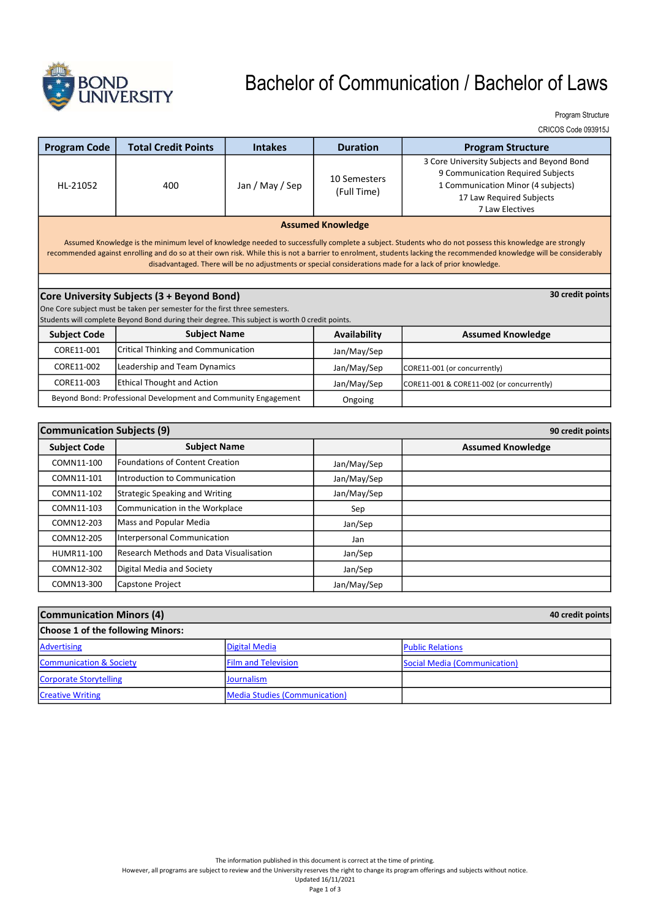

# Bachelor of Communication / Bachelor of Laws

Program Structure

CRICOS Code 093915J

| <b>Program Code</b>                                                                                                                                                                                                                                                                                                                                                                                                                         | <b>Total Credit Points</b>                                     | <b>Intakes</b>  | <b>Duration</b>             | <b>Program Structure</b>                                                                                                                                             |
|---------------------------------------------------------------------------------------------------------------------------------------------------------------------------------------------------------------------------------------------------------------------------------------------------------------------------------------------------------------------------------------------------------------------------------------------|----------------------------------------------------------------|-----------------|-----------------------------|----------------------------------------------------------------------------------------------------------------------------------------------------------------------|
| HI-21052                                                                                                                                                                                                                                                                                                                                                                                                                                    | 400                                                            | Jan / May / Sep | 10 Semesters<br>(Full Time) | 3 Core University Subjects and Beyond Bond<br>9 Communication Required Subjects<br>1 Communication Minor (4 subjects)<br>17 Law Required Subjects<br>7 Law Electives |
| <b>Assumed Knowledge</b>                                                                                                                                                                                                                                                                                                                                                                                                                    |                                                                |                 |                             |                                                                                                                                                                      |
| Assumed Knowledge is the minimum level of knowledge needed to successfully complete a subject. Students who do not possess this knowledge are strongly<br>recommended against enrolling and do so at their own risk. While this is not a barrier to enrolment, students lacking the recommended knowledge will be considerably<br>disadvantaged. There will be no adjustments or special considerations made for a lack of prior knowledge. |                                                                |                 |                             |                                                                                                                                                                      |
|                                                                                                                                                                                                                                                                                                                                                                                                                                             |                                                                |                 |                             |                                                                                                                                                                      |
|                                                                                                                                                                                                                                                                                                                                                                                                                                             | 30 credit points<br>Core University Subjects (3 + Beyond Bond) |                 |                             |                                                                                                                                                                      |
| One Core subject must be taken per semester for the first three semesters.<br>Students will complete Beyond Bond during their degree. This subject is worth 0 credit points.                                                                                                                                                                                                                                                                |                                                                |                 |                             |                                                                                                                                                                      |
| <b>Subject Code</b>                                                                                                                                                                                                                                                                                                                                                                                                                         | <b>Subject Name</b>                                            |                 | Availability                | <b>Assumed Knowledge</b>                                                                                                                                             |
| CORE11-001                                                                                                                                                                                                                                                                                                                                                                                                                                  | <b>Critical Thinking and Communication</b>                     |                 | Jan/May/Sep                 |                                                                                                                                                                      |
| CORE11-002                                                                                                                                                                                                                                                                                                                                                                                                                                  | Leadership and Team Dynamics                                   |                 | Jan/May/Sep                 | CORE11-001 (or concurrently)                                                                                                                                         |
| CORE11-003                                                                                                                                                                                                                                                                                                                                                                                                                                  | <b>Ethical Thought and Action</b>                              |                 | Jan/May/Sep                 | CORE11-001 & CORE11-002 (or concurrently)                                                                                                                            |
| Beyond Bond: Professional Development and Community Engagement                                                                                                                                                                                                                                                                                                                                                                              |                                                                |                 | Ongoing                     |                                                                                                                                                                      |

| <b>Communication Subjects (9)</b> |                                         | 90 credit points |                          |
|-----------------------------------|-----------------------------------------|------------------|--------------------------|
| <b>Subject Code</b>               | <b>Subject Name</b>                     |                  | <b>Assumed Knowledge</b> |
| COMN11-100                        | Foundations of Content Creation         | Jan/May/Sep      |                          |
| COMN11-101                        | Introduction to Communication           | Jan/May/Sep      |                          |
| COMN11-102                        | Strategic Speaking and Writing          | Jan/May/Sep      |                          |
| COMN11-103                        | Communication in the Workplace          | Sep              |                          |
| COMN12-203                        | Mass and Popular Media                  | Jan/Sep          |                          |
| COMN12-205                        | Interpersonal Communication             | Jan              |                          |
| HUMR11-100                        | Research Methods and Data Visualisation | Jan/Sep          |                          |
| COMN12-302                        | Digital Media and Society               | Jan/Sep          |                          |
| COMN13-300                        | Capstone Project                        | Jan/May/Sep      |                          |

| <b>Communication Minors (4)</b>    |                                      | 40 credit points             |
|------------------------------------|--------------------------------------|------------------------------|
| Choose 1 of the following Minors:  |                                      |                              |
| Advertising                        | Digital Media                        | <b>Public Relations</b>      |
| <b>Communication &amp; Society</b> | <b>Film and Television</b>           | Social Media (Communication) |
| Corporate Storytelling             | <b>Journalism</b>                    |                              |
| <b>Creative Writing</b>            | <b>Media Studies (Communication)</b> |                              |

However, all programs are subject to review and the University reserves the right to change its program offerings and subjects without notice.

Updated 16/11/2021 Page 1 of 3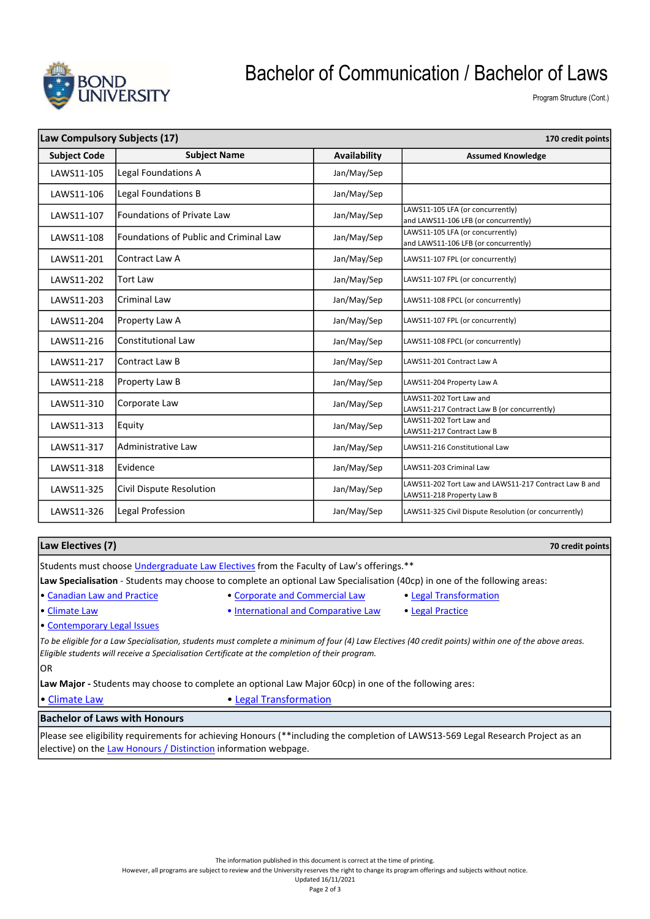

### Bachelor of Communication / Bachelor of Laws

Program Structure (Cont.)

| Law Compulsory Subjects (17)<br>170 credit points |                                        |              |                                                                                    |
|---------------------------------------------------|----------------------------------------|--------------|------------------------------------------------------------------------------------|
| <b>Subject Code</b>                               | <b>Subject Name</b>                    | Availability | <b>Assumed Knowledge</b>                                                           |
| LAWS11-105                                        | Legal Foundations A                    | Jan/May/Sep  |                                                                                    |
| LAWS11-106                                        | Legal Foundations B                    | Jan/May/Sep  |                                                                                    |
| LAWS11-107                                        | Foundations of Private Law             | Jan/May/Sep  | LAWS11-105 LFA (or concurrently)<br>and LAWS11-106 LFB (or concurrently)           |
| LAWS11-108                                        | Foundations of Public and Criminal Law | Jan/May/Sep  | LAWS11-105 LFA (or concurrently)<br>and LAWS11-106 LFB (or concurrently)           |
| LAWS11-201                                        | Contract Law A                         | Jan/May/Sep  | LAWS11-107 FPL (or concurrently)                                                   |
| LAWS11-202                                        | Tort Law                               | Jan/May/Sep  | LAWS11-107 FPL (or concurrently)                                                   |
| LAWS11-203                                        | Criminal Law                           | Jan/May/Sep  | LAWS11-108 FPCL (or concurrently)                                                  |
| LAWS11-204                                        | Property Law A                         | Jan/May/Sep  | LAWS11-107 FPL (or concurrently)                                                   |
| LAWS11-216                                        | <b>Constitutional Law</b>              | Jan/May/Sep  | LAWS11-108 FPCL (or concurrently)                                                  |
| LAWS11-217                                        | Contract Law B                         | Jan/May/Sep  | LAWS11-201 Contract Law A                                                          |
| LAWS11-218                                        | Property Law B                         | Jan/May/Sep  | LAWS11-204 Property Law A                                                          |
| LAWS11-310                                        | Corporate Law                          | Jan/May/Sep  | LAWS11-202 Tort Law and<br>LAWS11-217 Contract Law B (or concurrently)             |
| LAWS11-313                                        | Equity                                 | Jan/May/Sep  | LAWS11-202 Tort Law and<br>LAWS11-217 Contract Law B                               |
| LAWS11-317                                        | Administrative Law                     | Jan/May/Sep  | LAWS11-216 Constitutional Law                                                      |
| LAWS11-318                                        | Evidence                               | Jan/May/Sep  | LAWS11-203 Criminal Law                                                            |
| LAWS11-325                                        | Civil Dispute Resolution               | Jan/May/Sep  | LAWS11-202 Tort Law and LAWS11-217 Contract Law B and<br>LAWS11-218 Property Law B |
| LAWS11-326                                        | Legal Profession                       | Jan/May/Sep  | LAWS11-325 Civil Dispute Resolution (or concurrently)                              |

#### Law Electives (7)

70 credit points

Students must choose Undergraduate Law Electives from the Faculty of Law's offerings.\*\*

Law Specialisation - Students may choose to complete an optional Law Specialisation (40cp) in one of the following areas:

- 
- Canadian Law and Practice Corporate and Commercial Law Legal Transformation
	-

• Climate Law • International and Comparative Law • Legal Practice

• Contemporary Legal Issues

To be eligible for a Law Specialisation, students must complete a minimum of four (4) Law Electives (40 credit points) within one of the above areas. Eligible students will receive a Specialisation Certificate at the completion of their program.

lor

Law Major - Students may choose to complete an optional Law Major 60cp) in one of the following ares:

• Climate Law **• Legal Transformation** 

### Bachelor of Laws with Honours

Please see eligibility requirements for achieving Honours (\*\*including the completion of LAWS13-569 Legal Research Project as an elective) on the Law Honours / Distinction information webpage.

However, all programs are subject to review and the University reserves the right to change its program offerings and subjects without notice.

Updated 16/11/2021 Page 2 of 3